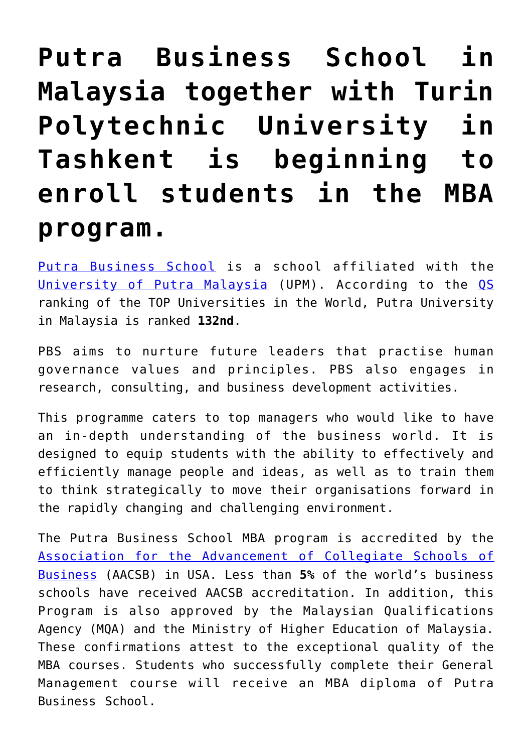## **[Putra Business School in](https://polito.uz/10074/) [Malaysia together with Turin](https://polito.uz/10074/) [Polytechnic University in](https://polito.uz/10074/) [Tashkent is beginning to](https://polito.uz/10074/) [enroll students in the MBA](https://polito.uz/10074/) [program.](https://polito.uz/10074/)**

[Putra Business School](https://putrabusinessschool.edu.my/why-putra/) is a school affiliated with the [University of Putra Malaysia](https://upm.edu.my/) (UPM). According to the [QS](https://www.topuniversities.com/universities/universiti-putra-malaysia-upm#wurs) ranking of the TOP Universities in the World, Putra University in Malaysia is ranked **132nd**.

PBS aims to nurture future leaders that practise human governance values and principles. PBS also engages in research, consulting, and business development activities.

This programme caters to top managers who would like to have an in-depth understanding of the business world. It is designed to equip students with the ability to effectively and efficiently manage people and ideas, as well as to train them to think strategically to move their organisations forward in the rapidly changing and challenging environment.

The Putra Business School MBA program is accredited by the [Association for the Advancement of Collegiate Schools of](https://datadirect.aacsb.edu/public/profiles/profile.cfm?interstitialComplete=1&runReport=1&unitid=87705&userType=All) [Business](https://datadirect.aacsb.edu/public/profiles/profile.cfm?interstitialComplete=1&runReport=1&unitid=87705&userType=All) (AACSB) in USA. Less than **5%** of the world's business schools have received AACSB accreditation. In addition, this Program is also approved by the Malaysian Qualifications Agency (MQA) and the Ministry of Higher Education of Malaysia. These confirmations attest to the exceptional quality of the MBA courses. Students who successfully complete their General Management course will receive an MBA diploma of Putra Business School.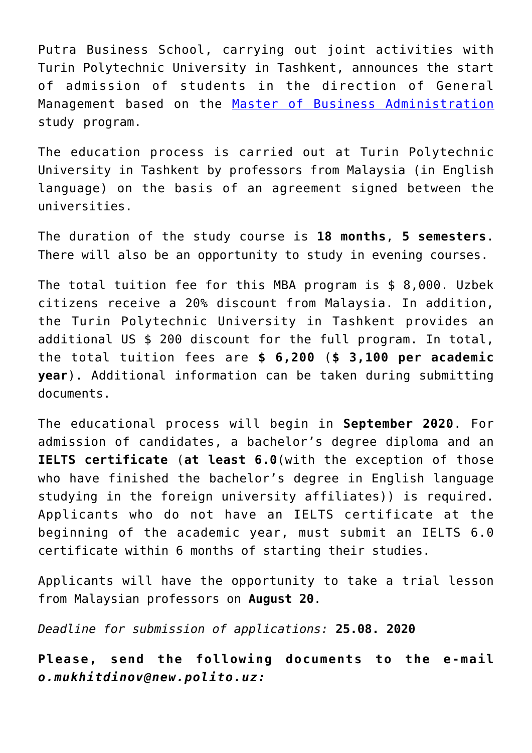Putra Business School, carrying out joint activities with Turin Polytechnic University in Tashkent, announces the start of admission of students in the direction of General Management based on the [Master of Business Administration](https://putrabusinessschool.edu.my/mbagm/) study program.

The education process is carried out at Turin Polytechnic University in Tashkent by professors from Malaysia (in English language) on the basis of an agreement signed between the universities.

The duration of the study course is **18 months**, **5 semesters**. There will also be an opportunity to study in evening courses.

The total tuition fee for this MBA program is \$ 8,000. Uzbek citizens receive a 20% discount from Malaysia. In addition, the Turin Polytechnic University in Tashkent provides an additional US \$ 200 discount for the full program. In total, the total tuition fees are **\$ 6,200** (**\$ 3,100 per academic year**). Additional information can be taken during submitting documents.

The educational process will begin in **September 2020**. For admission of candidates, a bachelor's degree diploma and an **IELTS certificate** (**at least 6.0**(with the exception of those who have finished the bachelor's degree in English language studying in the foreign university affiliates)) is required. Applicants who do not have an IELTS certificate at the beginning of the academic year, must submit an IELTS 6.0 certificate within 6 months of starting their studies.

Applicants will have the opportunity to take a trial lesson from Malaysian professors on **August 20**.

*Deadline for submission of applications:* **25.08. 2020**

**Please, send the following documents to the e-mail** *o.mukhitdinov@new.polito.uz:*